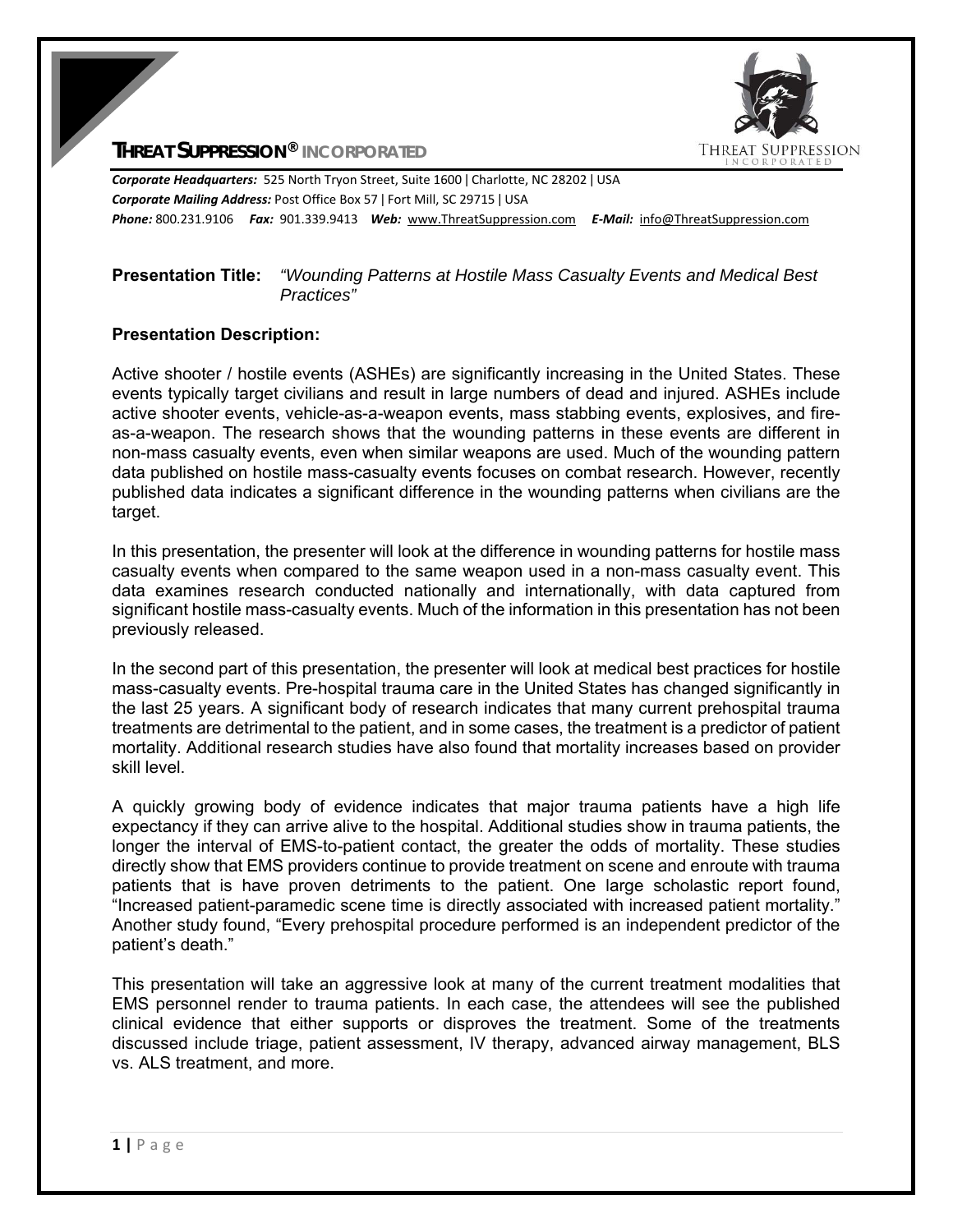

**THREAT SUPPRESSION® INCORPORATED**

*Corporate Headquarters:* 525 North Tryon Street, Suite 1600 ǀ Charlotte, NC 28202 ǀ USA *Corporate Mailing Address:* Post Office Box 57 ǀ Fort Mill, SC 29715 ǀ USA *Phone:* 800.231.9106  *Fax:* 901.339.9413 *Web:* www.ThreatSuppression.com *E‐Mail:*  info@ThreatSuppression.com

## **Presentation Title:** *"Wounding Patterns at Hostile Mass Casualty Events and Medical Best Practices"*

## **Presentation Description:**

Active shooter / hostile events (ASHEs) are significantly increasing in the United States. These events typically target civilians and result in large numbers of dead and injured. ASHEs include active shooter events, vehicle-as-a-weapon events, mass stabbing events, explosives, and fireas-a-weapon. The research shows that the wounding patterns in these events are different in non-mass casualty events, even when similar weapons are used. Much of the wounding pattern data published on hostile mass-casualty events focuses on combat research. However, recently published data indicates a significant difference in the wounding patterns when civilians are the target.

In this presentation, the presenter will look at the difference in wounding patterns for hostile mass casualty events when compared to the same weapon used in a non-mass casualty event. This data examines research conducted nationally and internationally, with data captured from significant hostile mass-casualty events. Much of the information in this presentation has not been previously released.

In the second part of this presentation, the presenter will look at medical best practices for hostile mass-casualty events. Pre-hospital trauma care in the United States has changed significantly in the last 25 years. A significant body of research indicates that many current prehospital trauma treatments are detrimental to the patient, and in some cases, the treatment is a predictor of patient mortality. Additional research studies have also found that mortality increases based on provider skill level.

A quickly growing body of evidence indicates that major trauma patients have a high life expectancy if they can arrive alive to the hospital. Additional studies show in trauma patients, the longer the interval of EMS-to-patient contact, the greater the odds of mortality. These studies directly show that EMS providers continue to provide treatment on scene and enroute with trauma patients that is have proven detriments to the patient. One large scholastic report found, "Increased patient-paramedic scene time is directly associated with increased patient mortality." Another study found, "Every prehospital procedure performed is an independent predictor of the patient's death."

This presentation will take an aggressive look at many of the current treatment modalities that EMS personnel render to trauma patients. In each case, the attendees will see the published clinical evidence that either supports or disproves the treatment. Some of the treatments discussed include triage, patient assessment, IV therapy, advanced airway management, BLS vs. ALS treatment, and more.